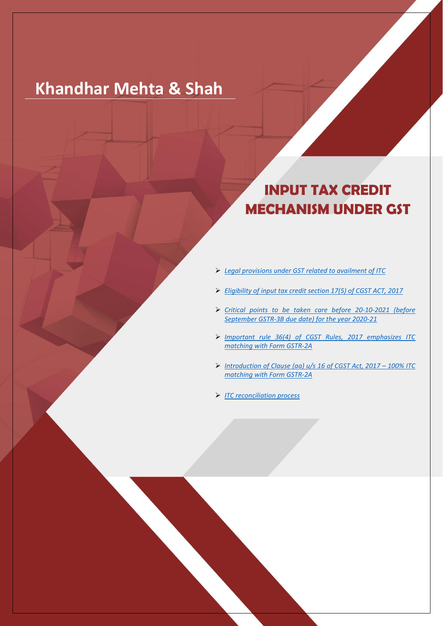- ➢ *[Legal provisions under GST related to availment of ITC](#page-1-0)*
- ➢ *[Eligibility of input tax credit section 17\(5\) of CGST ACT, 2017](#page-2-0)*
- ➢ *[Critical points to be taken care before 20-10-2021 \(before](#page-4-0)  [September GSTR-3B due date\) for the year 2020-21](#page-4-0)*
- ➢ *[Important rule 36\(4\) of CGST Rules, 2017 emphasizes ITC](#page-4-1)  [matching with Form GSTR-2A](#page-4-1)*
- ➢ *[Introduction of Clause \(aa\) u/s 16 of CGST Act, 2017](#page-5-0) – 100% ITC [matching with Form GSTR-2A](#page-5-0)*
- ➢ *[ITC reconciliation process](#page-5-1)*



# **Khandhar Mehta & Shah**

# **INPUT TAX CREDIT MECHANISM UNDER GST**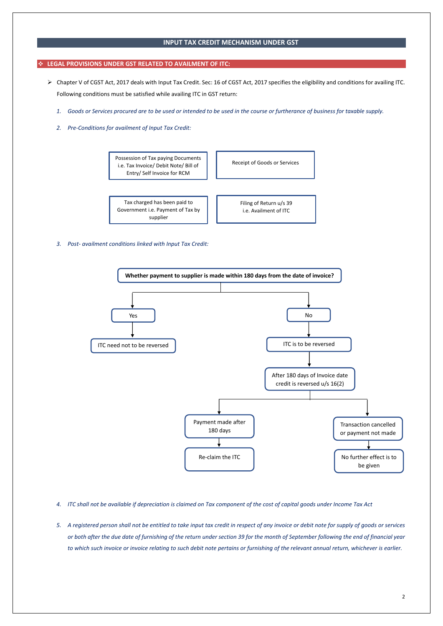## **INPUT TAX CREDIT MECHANISM UNDER GST**

## <span id="page-1-0"></span>❖ **LEGAL PROVISIONS UNDER GST RELATED TO AVAILMENT OF ITC:**

- ➢ Chapter V of CGST Act, 2017 deals with Input Tax Credit. Sec: 16 of CGST Act, 2017 specifies the eligibility and conditions for availing ITC. Following conditions must be satisfied while availing ITC in GST return:
	- *1. Goods or Services procured are to be used or intended to be used in the course or furtherance of business for taxable supply.*
	- *2. Pre-Conditions for availment of Input Tax Credit:*

*3. Post- availment conditions linked with Input Tax Credit:*

- *4. ITC shall not be available if depreciation is claimed on Tax component of the cost of capital goods under Income Tax Act*
- *5. A registered person shall not be entitled to take input tax credit in respect of any invoice or debit note for supply of goods or services or both after the due date of furnishing of the return under section 39 for the month of September following the end of financial year to which such invoice or invoice relating to such debit note pertains or furnishing of the relevant annual return, whichever is earlier.*

Possession of Tax paying Documents i.e. Tax Invoice/ Debit Note/ Bill of Entry/ Self Invoice for RCM

Receipt of Goods or Services

Tax charged has been paid to Government i.e. Payment of Tax by supplier

Filing of Return u/s 39 i.e. Availment of ITC

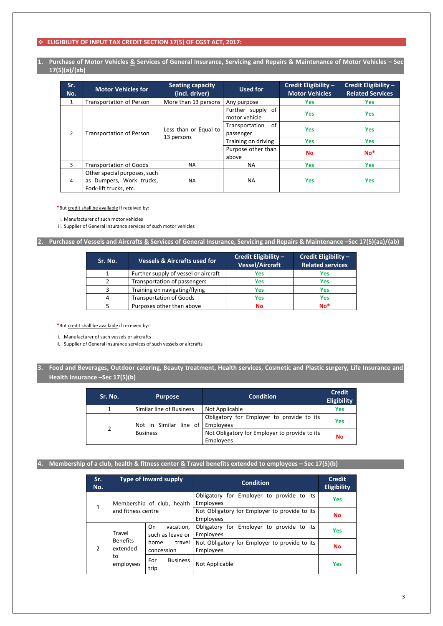# ❖ **ELIGIBILITY OF INPUT TAX CREDIT SECTION 17(5) OF CGST ACT, 2017:**

**1. Purchase of Motor Vehicles & Services of General Insurance, Servicing and Repairs & Maintenance of Motor Vehicles – Sec 17(5)(a)/(ab)**

<span id="page-2-0"></span>

| Sr.<br>No.     | <b>Motor Vehicles for</b>                                                          | <b>Seating capacity</b><br>(incl. driver) | <b>Used for</b>                    | Credit Eligibility -<br><b>Motor Vehicles</b> | Credit Eligibility -<br><b>Related Services</b> |
|----------------|------------------------------------------------------------------------------------|-------------------------------------------|------------------------------------|-----------------------------------------------|-------------------------------------------------|
| $\mathbf{1}$   | <b>Transportation of Person</b>                                                    | More than 13 persons                      | Any purpose                        | Yes                                           | Yes                                             |
|                |                                                                                    |                                           | Further supply of<br>motor vehicle | <b>Yes</b>                                    | <b>Yes</b>                                      |
| $\overline{2}$ | <b>Transportation of Person</b>                                                    | Less than or Equal to<br>13 persons       | 0f<br>Transportation<br>passenger  | <b>Yes</b>                                    | <b>Yes</b>                                      |
|                |                                                                                    |                                           | Training on driving                | <b>Yes</b>                                    | <b>Yes</b>                                      |
|                |                                                                                    |                                           | Purpose other than<br>above        | <b>No</b>                                     | $No*$                                           |
| 3              | <b>Transportation of Goods</b>                                                     | <b>NA</b>                                 | NА                                 | <b>Yes</b>                                    | <b>Yes</b>                                      |
| 4              | Other special purposes, such<br>as Dumpers, Work trucks,<br>Fork-lift trucks, etc. | <b>NA</b>                                 | NА                                 | <b>Yes</b>                                    | <b>Yes</b>                                      |

**\***But credit shall be available if received by:

i. Manufacturer of such motor vehicles

ii. Supplier of General insurance services of such motor vehicles

## **2. Purchase of Vessels and Aircrafts & Services of General Insurance, Servicing and Repairs & Maintenance –Sec 17(5)(aa)/(ab)**

| Sr. No. | <b>Vessels &amp; Aircrafts used for</b> | Credit Eligibility -<br><b>Vessel/Aircraft</b> | Credit Eligibility -<br><b>Related services</b> |
|---------|-----------------------------------------|------------------------------------------------|-------------------------------------------------|
|         | Further supply of vessel or aircraft    | <b>Yes</b>                                     | <b>Yes</b>                                      |
|         | Transportation of passengers            | <b>Yes</b>                                     | <b>Yes</b>                                      |
| ર       | Training on navigating/flying           | <b>Yes</b>                                     | <b>Yes</b>                                      |
| 4       | <b>Transportation of Goods</b>          | <b>Yes</b>                                     | <b>Yes</b>                                      |
|         | Purposes other than above               | <b>No</b>                                      | $No*$                                           |

**\***But credit shall be available if received by:

i. Manufacturer of such vessels or aircrafts

ii. Supplier of General insurance services of such vessels or aircrafts

# **3. Food and Beverages, Outdoor catering, Beauty treatment, Health services, Cosmetic and Plastic surgery, Life Insurance and Health Insurance –Sec 17(5)(b)**

| Sr. No.        | <b>Purpose</b>           | <b>Condition</b>                                           | <b>Credit</b><br><b>Eligibility</b> |
|----------------|--------------------------|------------------------------------------------------------|-------------------------------------|
|                | Similar line of Business | Not Applicable                                             | <b>Yes</b>                          |
| $\overline{2}$ | Not in Similar line of   | Obligatory for Employer to provide to its<br>Employees     | Yes                                 |
|                | <b>Business</b>          | Not Obligatory for Employer to provide to its<br>Employees | <b>No</b>                           |

| Sr.<br>No.    |                                                                                                                                                                    | <b>Type of Inward supply</b>                               | <b>Condition</b>                                              | <b>Credit</b><br><b>Eligibility</b> |
|---------------|--------------------------------------------------------------------------------------------------------------------------------------------------------------------|------------------------------------------------------------|---------------------------------------------------------------|-------------------------------------|
| 1             |                                                                                                                                                                    | Membership of club, health                                 | Obligatory for Employer to provide to its<br><b>Employees</b> | <b>Yes</b>                          |
|               | and fitness centre                                                                                                                                                 |                                                            | Not Obligatory for Employer to provide to its<br>Employees    | <b>No</b>                           |
| $\mathcal{P}$ | On.<br>vacation,<br>Travel<br>such as leave or<br><b>Benefits</b><br>travel<br>home<br>extended<br>concession<br>to<br><b>Business</b><br>For<br>employees<br>trip | Obligatory for Employer to provide to its<br>Employees     | <b>Yes</b>                                                    |                                     |
|               |                                                                                                                                                                    | Not Obligatory for Employer to provide to its<br>Employees | <b>No</b>                                                     |                                     |
|               |                                                                                                                                                                    | Not Applicable                                             | <b>Yes</b>                                                    |                                     |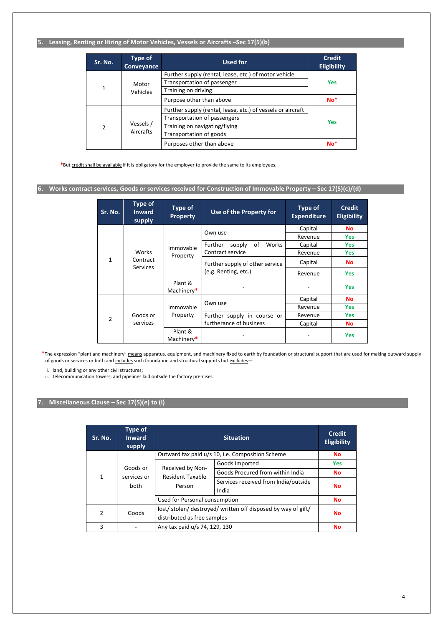4

# **5. Leasing, Renting or Hiring of Motor Vehicles, Vessels or Aircrafts –Sec 17(5)(b)**

| Sr. No.        | <b>Type of</b><br>Conveyance                                                              | <b>Used for</b>                                             | <b>Credit</b><br><b>Eligibility</b> |
|----------------|-------------------------------------------------------------------------------------------|-------------------------------------------------------------|-------------------------------------|
|                |                                                                                           | Further supply (rental, lease, etc.) of motor vehicle       |                                     |
|                | Motor                                                                                     | Transportation of passenger                                 | <b>Yes</b>                          |
| 1              | <b>Vehicles</b>                                                                           | Training on driving                                         |                                     |
|                |                                                                                           | Purpose other than above                                    | $No*$                               |
|                |                                                                                           | Further supply (rental, lease, etc.) of vessels or aircraft |                                     |
|                |                                                                                           | Transportation of passengers                                |                                     |
| $\overline{2}$ | Vessels /<br>Training on navigating/flying<br><b>Aircrafts</b><br>Transportation of goods |                                                             | <b>Yes</b>                          |
|                |                                                                                           |                                                             |                                     |
|                |                                                                                           | Purposes other than above                                   | $No*$                               |

**\***But credit shall be available if it is obligatory for the employer to provide the same to its employees.

# **6. Works contract services, Goods or services received for Construction of Immovable Property – Sec 17(5)(c)/(d)**

| Sr. No. | <b>Type of</b><br><b>Inward</b><br>supply | <b>Type of</b><br><b>Property</b> | Use of the Property for          | <b>Type of</b><br><b>Expenditure</b> | <b>Credit</b><br><b>Eligibility</b> |
|---------|-------------------------------------------|-----------------------------------|----------------------------------|--------------------------------------|-------------------------------------|
|         |                                           |                                   | Own use                          | Capital                              | <b>No</b>                           |
|         |                                           |                                   |                                  | Revenue                              | Yes                                 |
| 1       |                                           | Immovable                         | of<br>Works<br>Further<br>supply | Capital                              | <b>Yes</b>                          |
|         | Works<br>Contract<br><b>Services</b>      | Property                          | Contract service                 | Revenue                              | Yes                                 |
|         |                                           |                                   | Further supply of other service  | Capital                              | <b>No</b>                           |
|         |                                           |                                   | (e.g. Renting, etc.)             | Revenue                              | <b>Yes</b>                          |
|         |                                           | Plant &<br>Machinery*             |                                  |                                      | <b>Yes</b>                          |
|         |                                           |                                   |                                  | Capital                              | <b>No</b>                           |
|         |                                           | Immovable                         | Own use                          | Revenue                              | Yes                                 |
| 2       | Goods or                                  | Property                          | Further supply in course or      | Revenue                              | Yes                                 |
|         | services                                  |                                   | furtherance of business          | Capital                              | <b>No</b>                           |
|         |                                           | Plant &<br>Machinery*             |                                  |                                      | <b>Yes</b>                          |

\*The expression "plant and machinery" means apparatus, equipment, and machinery fixed to earth by foundation or structural support that are used for making outward supply of goods or services or both and includes such foundation and structural supports but excludes-

i. land, building or any other civil structures;

ii. telecommunication towers; and pipelines laid outside the factory premises.

# **7. Miscellaneous Clause – Sec 17(5)(e) to (i)**

| Sr. No.        | <b>Type of</b><br><b>Inward</b><br>supply |                                                            | <b>Credit</b><br><b>Eligibility</b>              |            |
|----------------|-------------------------------------------|------------------------------------------------------------|--------------------------------------------------|------------|
|                |                                           |                                                            | Outward tax paid u/s 10, i.e. Composition Scheme | <b>No</b>  |
|                | Goods or                                  |                                                            | Goods Imported                                   | <b>Yes</b> |
| $\mathbf{1}$   | services or<br>both                       | Received by Non-<br><b>Resident Taxable</b><br>Person      | Goods Procured from within India                 | <b>No</b>  |
|                |                                           |                                                            | Services received from India/outside<br>India    | <b>No</b>  |
|                |                                           | Used for Personal consumption                              |                                                  | <b>No</b>  |
| $\overline{2}$ | Goods                                     | lost/stolen/destroyed/written off disposed by way of gift/ |                                                  | <b>No</b>  |
|                |                                           | distributed as free samples                                |                                                  |            |
| 3              |                                           | Any tax paid u/s 74, 129, 130                              | <b>No</b>                                        |            |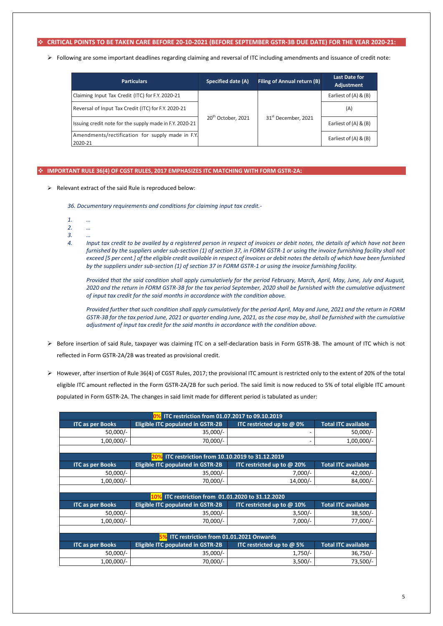5

### <span id="page-4-0"></span>❖ **CRITICAL POINTS TO BE TAKEN CARE BEFORE 20-10-2021 (BEFORE SEPTEMBER GSTR-3B DUE DATE) FOR THE YEAR 2020-21:**

➢ Following are some important deadlines regarding claiming and reversal of ITC including amendments and issuance of credit note:

| <b>Particulars</b>                                          | <b>Specified date (A)</b>      | <b>Filing of Annual return (B)</b> | <b>Last Date for</b><br>Adjustment |
|-------------------------------------------------------------|--------------------------------|------------------------------------|------------------------------------|
| Claiming Input Tax Credit (ITC) for F.Y. 2020-21            |                                |                                    | Earliest of $(A)$ & $(B)$          |
| Reversal of Input Tax Credit (ITC) for F.Y. 2020-21         | 20 <sup>th</sup> October, 2021 |                                    | (A)                                |
| Issuing credit note for the supply made in F.Y. 2020-21     |                                | 31 <sup>st</sup> December, 2021    | Earliest of (A) & (B)              |
| Amendments/rectification for supply made in F.Y.<br>2020-21 |                                |                                    | Earliest of $(A)$ & $(B)$          |

### <span id="page-4-1"></span>❖ **IMPORTANT RULE 36(4) OF CGST RULES, 2017 EMPHASIZES ITC MATCHING WITH FORM GSTR-2A:**

➢ Relevant extract of the said Rule is reproduced below:

*36. Documentary requirements and conditions for claiming input tax credit.-*

- *1. …*
- *2. …*
- *3. …*
- *4. Input tax credit to be availed by a registered person in respect of invoices or debit notes, the details of which have not been furnished by the suppliers under sub-section (1) of section 37, in FORM GSTR-1 or using the invoice furnishing facility shall not exceed [5 per cent.] of the eligible credit available in respect of invoices or debit notes the details of which have been furnished by the suppliers under sub-section (1) of section 37 in FORM GSTR-1 or using the invoice furnishing facility.*

*Provided that the said condition shall apply cumulatively for the period February, March, April, May, June, July and August, 2020 and the return in FORM GSTR-3B for the tax period September, 2020 shall be furnished with the cumulative adjustment of input tax credit for the said months in accordance with the condition above.*

*Provided further that such condition shall apply cumulatively for the period April, May and June, 2021 and the return in FORM GSTR-3B for the tax period June, 2021 or quarter ending June, 2021, as the case may be, shall be furnished with the cumulative adjustment of input tax credit for the said months in accordance with the condition above.*

- ➢ Before insertion of said Rule, taxpayer was claiming ITC on a self-declaration basis in Form GSTR-3B. The amount of ITC which is not reflected in Form GSTR-2A/2B was treated as provisional credit.
- ➢ However, after insertion of Rule 36(4) of CGST Rules, 2017; the provisional ITC amount is restricted only to the extent of 20% of the total eligible ITC amount reflected in the Form GSTR-2A/2B for such period. The said limit is now reduced to 5% of total eligible ITC amount populated in Form GSTR-2A. The changes in said limit made for different period is tabulated as under:

|                                         | ITC restriction from 01.07.2017 to 09.10.2019 |                                  |                            |  |  |
|-----------------------------------------|-----------------------------------------------|----------------------------------|----------------------------|--|--|
| <b>ITC</b> as per Books                 | <b>Eligible ITC populated in GSTR-2B</b>      | <b>ITC restricted up to @ 0%</b> | <b>Total ITC available</b> |  |  |
| $50,000/-$                              | $35,000/-$                                    |                                  | $50,000/-$                 |  |  |
| $1,00,000/-$                            | 70,000/-                                      |                                  | $1,00,000/-$               |  |  |
|                                         |                                               |                                  |                            |  |  |
|                                         | ITC restriction from 10.10.2019 to 31.12.2019 |                                  |                            |  |  |
| <b>ITC as per Books</b>                 | <b>Eligible ITC populated in GSTR-2B</b>      | ITC restricted up to @ 20%       | <b>Total ITC available</b> |  |  |
| $50,000/-$                              | $35,000/-$                                    | $7,000/-$                        | $42,000/-$                 |  |  |
| $1,00,000/-$                            | 70,000/-                                      | $14,000/-$                       | 84,000/-                   |  |  |
|                                         |                                               |                                  |                            |  |  |
|                                         | ITC restriction from 01.01.2020 to 31.12.2020 |                                  |                            |  |  |
| <b>ITC as per Books</b>                 | <b>Eligible ITC populated in GSTR-2B</b>      | ITC restricted up to @ 10%       | <b>Total ITC available</b> |  |  |
| $50,000/-$                              | $35,000/-$                                    | $3,500/-$                        | $38,500/-$                 |  |  |
| $1,00,000/-$                            | 70,000/-                                      | $7,000/-$                        | 77,000/-                   |  |  |
|                                         |                                               |                                  |                            |  |  |
| ITC restriction from 01.01.2021 Onwards |                                               |                                  |                            |  |  |
| <b>ITC as per Books</b>                 | <b>Eligible ITC populated in GSTR-2B</b>      | ITC restricted up to @ 5%        | <b>Total ITC available</b> |  |  |
| $50,000/-$                              | $35,000/-$                                    | $1,750/-$                        | $36,750/-$                 |  |  |
| $1,00,000/-$                            | 70,000/-                                      | $3,500/-$                        | $73,500/-$                 |  |  |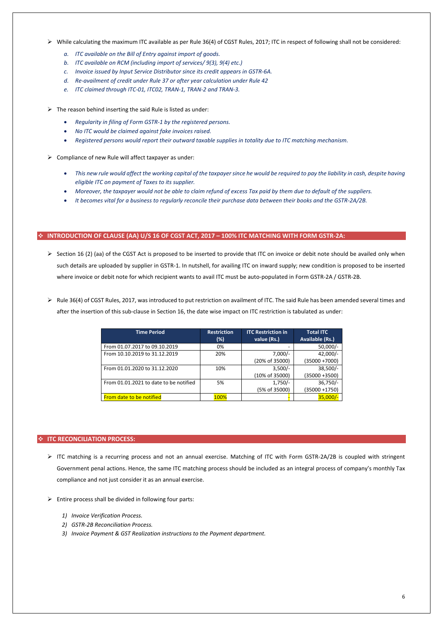- ➢ While calculating the maximum ITC available as per Rule 36(4) of CGST Rules, 2017; ITC in respect of following shall not be considered:
	- *a. ITC available on the Bill of Entry against import of goods.*
	- *b. ITC available on RCM (including import of services/ 9(3), 9(4) etc.)*
	- *c. Invoice issued by Input Service Distributor since its credit appears in GSTR-6A.*
	- *d. Re-availment of credit under Rule 37 or after year calculation under Rule 42*
	- *e. ITC claimed through ITC-01, ITC02, TRAN-1, TRAN-2 and TRAN-3.*

 $\triangleright$  The reason behind inserting the said Rule is listed as under:

- *Regularity in filing of Form GSTR-1 by the registered persons.*
- *No ITC would be claimed against fake invoices raised.*
- *Registered persons would report their outward taxable supplies in totality due to ITC matching mechanism.*
- $\triangleright$  Compliance of new Rule will affect taxpayer as under:
	- *This new rule would affect the working capital of the taxpayer since he would be required to pay the liability in cash, despite having eligible ITC on payment of Taxes to its supplier.*
	- *Moreover, the taxpayer would not be able to claim refund of excess Tax paid by them due to default of the suppliers.*
	- *It becomes vital for a business to regularly reconcile their purchase data between their books and the GSTR-2A/2B.*

- $\triangleright$  Section 16 (2) (aa) of the CGST Act is proposed to be inserted to provide that ITC on invoice or debit note should be availed only when such details are uploaded by supplier in GSTR-1. In nutshell, for availing ITC on inward supply; new condition is proposed to be inserted where invoice or debit note for which recipient wants to avail ITC must be auto-populated in Form GSTR-2A / GSTR-2B.
- ➢ Rule 36(4) of CGST Rules, 2017, was introduced to put restriction on availment of ITC. The said Rule has been amended several times and after the insertion of this sub-clause in Section 16, the date wise impact on ITC restriction is tabulated as under:

#### ❖ **INTRODUCTION OF CLAUSE (AA) U/S 16 OF CGST ACT, 2017 – 100% ITC MATCHING WITH FORM GSTR-2A:**

- $\triangleright$  Entire process shall be divided in following four parts:
	- *1) Invoice Verification Process.*
	- *2) GSTR-2B Reconciliation Process.*
	- *3) Invoice Payment & GST Realization instructions to the Payment department.*

<span id="page-5-0"></span>

| <b>Time Period</b>                     | <b>Restriction</b><br>(%) | <b>ITC Restriction in</b><br>value (Rs.) | <b>Total ITC</b><br><b>Available (Rs.)</b> |
|----------------------------------------|---------------------------|------------------------------------------|--------------------------------------------|
|                                        |                           |                                          |                                            |
| From 01.07.2017 to 09.10.2019          | 0%                        |                                          | $50,000/-$                                 |
| From 10.10.2019 to 31.12.2019          | 20%                       | $7,000/-$                                | $42,000/-$                                 |
|                                        |                           | (20% of 35000)                           | $(35000 + 7000)$                           |
| From 01.01.2020 to 31.12.2020          | 10%                       | $3,500/-$                                | $38,500/-$                                 |
|                                        |                           | (10% of 35000)                           | $(35000 + 3500)$                           |
| From 01.01.2021 to date to be notified | 5%                        | $1,750/-$                                | $36,750/-$                                 |
|                                        |                           | (5% of 35000)                            | $(35000 + 1750)$                           |
| <b>From date to be notified</b>        | <b>100%</b>               |                                          | $35,000/-$                                 |

### ❖ **ITC RECONCILIATION PROCESS:**

➢ ITC matching is a recurring process and not an annual exercise. Matching of ITC with Form GSTR-2A/2B is coupled with stringent Government penal actions. Hence, the same ITC matching process should be included as an integral process of company's monthly Tax

<span id="page-5-1"></span>compliance and not just consider it as an annual exercise.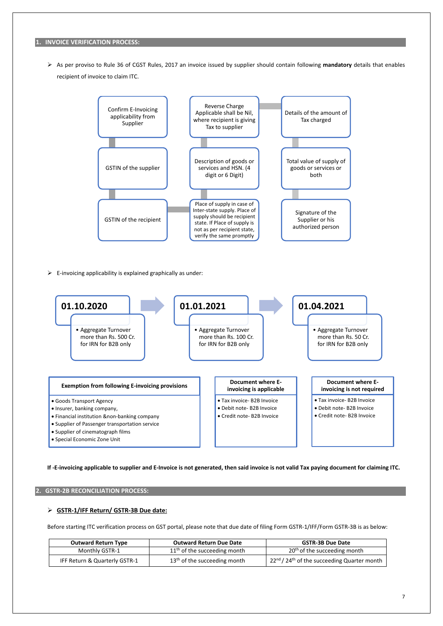#### **1. INVOICE VERIFICATION PROCESS:**

➢ As per proviso to Rule 36 of CGST Rules, 2017 an invoice issued by supplier should contain following **mandatory** details that enables recipient of invoice to claim ITC.

**If -E-invoicing applicable to supplier and E-Invoice is not generated, then said invoice is not valid Tax paying document for claiming ITC.**

## ➢ **GSTR-1/IFF Return/ GSTR-3B Due date:**

Before starting ITC verification process on GST portal, please note that due date of filing Form GSTR-1/IFF/Form GSTR-3B is as below:

| <b>Outward Return Type</b>    | <b>Outward Return Due Date</b> | <b>GSTR-3B Due Date</b>                                                           |
|-------------------------------|--------------------------------|-----------------------------------------------------------------------------------|
| Monthly GSTR-1                | $11th$ of the succeeding month | 20 <sup>th</sup> of the succeeding month                                          |
| IFF Return & Quarterly GSTR-1 | $13th$ of the succeeding month | $\frac{1}{2}$ 22 <sup>nd</sup> / 24 <sup>th</sup> of the succeeding Quarter month |



 $\triangleright$  E-invoicing applicability is explained graphically as under:

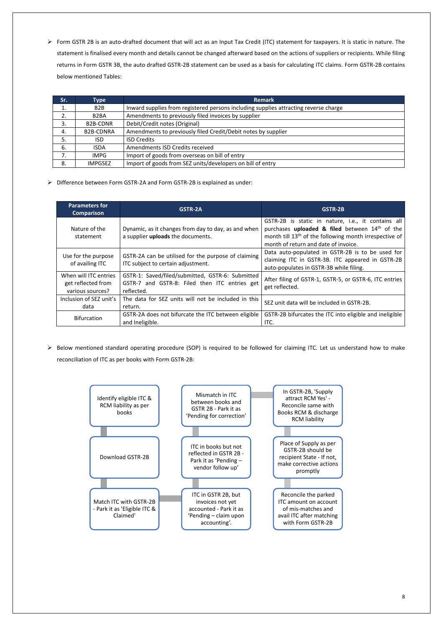➢ Form GSTR 2B is an auto-drafted document that will act as an Input Tax Credit (ITC) statement for taxpayers. It is static in nature. The statement is finalised every month and details cannot be changed afterward based on the actions of suppliers or recipients. While filing returns in Form GSTR 3B, the auto drafted GSTR-2B statement can be used as a basis for calculating ITC claims. Form GSTR-2B contains below mentioned Tables:

| Sr. | Type              | <b>Remark</b>                                                                        |
|-----|-------------------|--------------------------------------------------------------------------------------|
| ᅩ   | B <sub>2</sub> B  | Inward supplies from registered persons including supplies attracting reverse charge |
| 2.  | B <sub>2</sub> BA | Amendments to previously filed invoices by supplier                                  |
| 3.  | <b>B2B-CDNR</b>   | Debit/Credit notes (Original)                                                        |
| 4.  | <b>B2B-CDNRA</b>  | Amendments to previously filed Credit/Debit notes by supplier                        |
| 5.  | ISD.              | <b>ISD Credits</b>                                                                   |
| 6.  | <b>ISDA</b>       | Amendments ISD Credits received                                                      |
|     | <b>IMPG</b>       | Import of goods from overseas on bill of entry                                       |
| 8.  | <b>IMPGSEZ</b>    | Import of goods from SEZ units/developers on bill of entry                           |

➢ Difference between Form GSTR-2A and Form GSTR-2B is explained as under:

| <b>Parameters for</b><br><b>Comparison</b>                      | GSTR-2A                                                                                                         | GSTR-2B                                                                                                                                                                                                                        |
|-----------------------------------------------------------------|-----------------------------------------------------------------------------------------------------------------|--------------------------------------------------------------------------------------------------------------------------------------------------------------------------------------------------------------------------------|
| Nature of the<br>statement                                      | Dynamic, as it changes from day to day, as and when<br>a supplier uploads the documents.                        | GSTR-2B is static in nature, i.e., it contains all<br>purchases uploaded & filed between 14 <sup>th</sup> of the<br>month till 13 <sup>th</sup> of the following month irrespective of<br>month of return and date of invoice. |
| Use for the purpose<br>of availing ITC                          | GSTR-2A can be utilised for the purpose of claiming<br>ITC subject to certain adjustment.                       | Data auto-populated in GSTR-2B is to be used for<br>claiming ITC in GSTR-3B. ITC appeared in GSTR-2B<br>auto-populates in GSTR-3B while filing.                                                                                |
| When will ITC entries<br>get reflected from<br>various sources? | GSTR-1: Saved/filed/submitted, GSTR-6: Submitted<br>GSTR-7 and GSTR-8: Filed then ITC entries get<br>reflected. | After filing of GSTR-1, GSTR-5, or GSTR-6, ITC entries<br>get reflected.                                                                                                                                                       |
| Inclusion of SEZ unit's<br>data                                 | The data for SEZ units will not be included in this<br>return.                                                  | SEZ unit data will be included in GSTR-2B.                                                                                                                                                                                     |
| <b>Bifurcation</b>                                              | GSTR-2A does not bifurcate the ITC between eligible<br>and Ineligible.                                          | GSTR-2B bifurcates the ITC into eligible and ineligible<br>ITC.                                                                                                                                                                |

➢ Below mentioned standard operating procedure (SOP) is required to be followed for claiming ITC. Let us understand how to make reconciliation of ITC as per books with Form GSTR-2B: